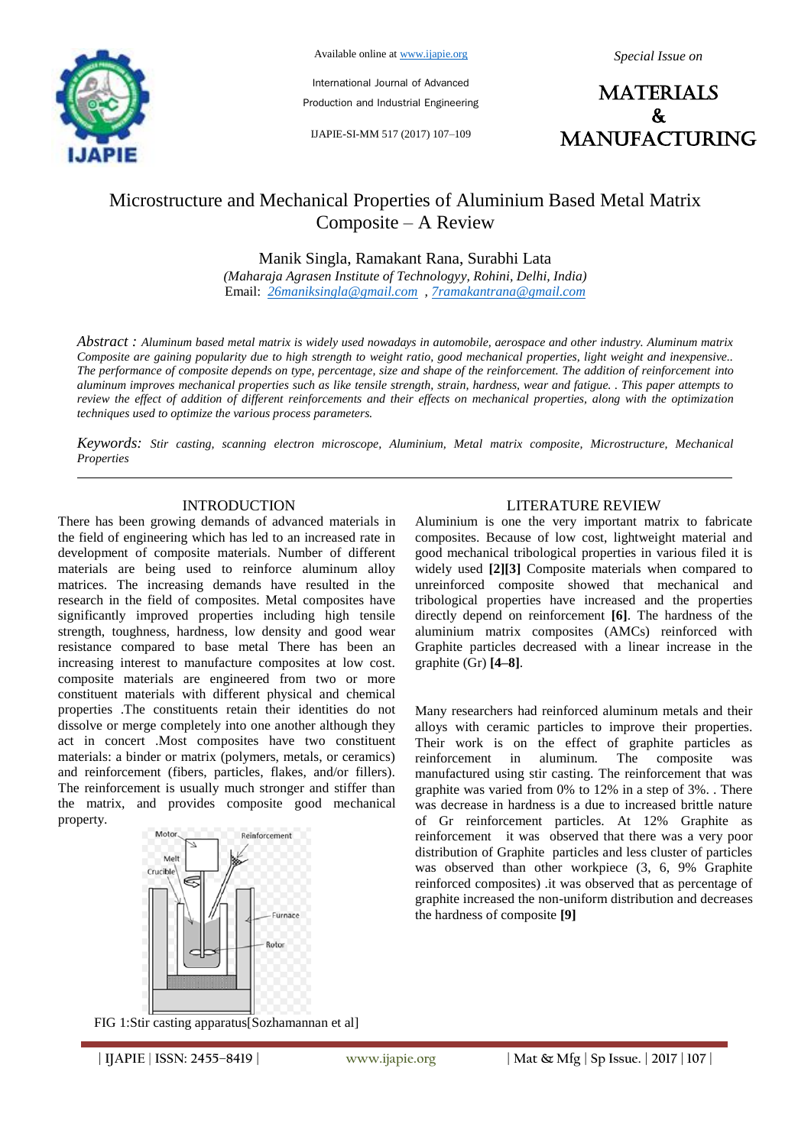

Available online at www.ijapie.org

International Journal of Advanced Production and Industrial Engineering

IJAPIE-SI-MM 517 (2017) 107–109

**MATERIALS**  $\mathbf{k}$ manufacturing

# Microstructure and Mechanical Properties of Aluminium Based Metal Matrix Composite – A Review

Manik Singla, Ramakant Rana, Surabhi Lata

*(Maharaja Agrasen Institute of Technologyy, Rohini, Delhi, India)* Email: *26maniksingla@gmail.com , 7ramakantrana@gmail.com* 

*Abstract : Aluminum based metal matrix is widely used nowadays in automobile, aerospace and other industry. Aluminum matrix Composite are gaining popularity due to high strength to weight ratio, good mechanical properties, light weight and inexpensive.. The performance of composite depends on type, percentage, size and shape of the reinforcement. The addition of reinforcement into aluminum improves mechanical properties such as like tensile strength, strain, hardness, wear and fatigue. . This paper attempts to review the effect of addition of different reinforcements and their effects on mechanical properties, along with the optimization techniques used to optimize the various process parameters.*

*Keywords: Stir casting, scanning electron microscope, Aluminium, Metal matrix composite, Microstructure, Mechanical Properties*

### **INTRODUCTION**

There has been growing demands of advanced materials in the field of engineering which has led to an increased rate in development of composite materials. Number of different materials are being used to reinforce aluminum alloy matrices. The increasing demands have resulted in the research in the field of composites. Metal composites have significantly improved properties including high tensile strength, toughness, hardness, low density and good wear resistance compared to base metal There has been an increasing interest to manufacture composites at low cost. composite materials are engineered from two or more constituent materials with different physical and chemical properties .The constituents retain their identities do not dissolve or merge completely into one another although they act in concert .Most composites have two constituent materials: a binder or matrix (polymers, metals, or ceramics) and reinforcement (fibers, particles, flakes, and/or fillers). The reinforcement is usually much stronger and stiffer than the matrix, and provides composite good mechanical property.



## LITERATURE REVIEW

Aluminium is one the very important matrix to fabricate composites. Because of low cost, lightweight material and good mechanical tribological properties in various filed it is widely used **[2][3]** Composite materials when compared to unreinforced composite showed that mechanical and tribological properties have increased and the properties directly depend on reinforcement **[6]**. The hardness of the aluminium matrix composites (AMCs) reinforced with Graphite particles decreased with a linear increase in the graphite (Gr) **[4–8]**.

Many researchers had reinforced aluminum metals and their alloys with ceramic particles to improve their properties. Their work is on the effect of graphite particles as<br>reinforcement in aluminum. The composite was reinforcement in aluminum. The composite was manufactured using stir casting. The reinforcement that was graphite was varied from 0% to 12% in a step of 3%. . There was decrease in hardness is a due to increased brittle nature of Gr reinforcement particles. At 12% Graphite as reinforcement it was observed that there was a very poor distribution of Graphite particles and less cluster of particles was observed than other workpiece (3, 6, 9% Graphite reinforced composites) .it was observed that as percentage of graphite increased the non-uniform distribution and decreases the hardness of composite **[9]**

FIG 1:Stir casting apparatus[Sozhamannan et al]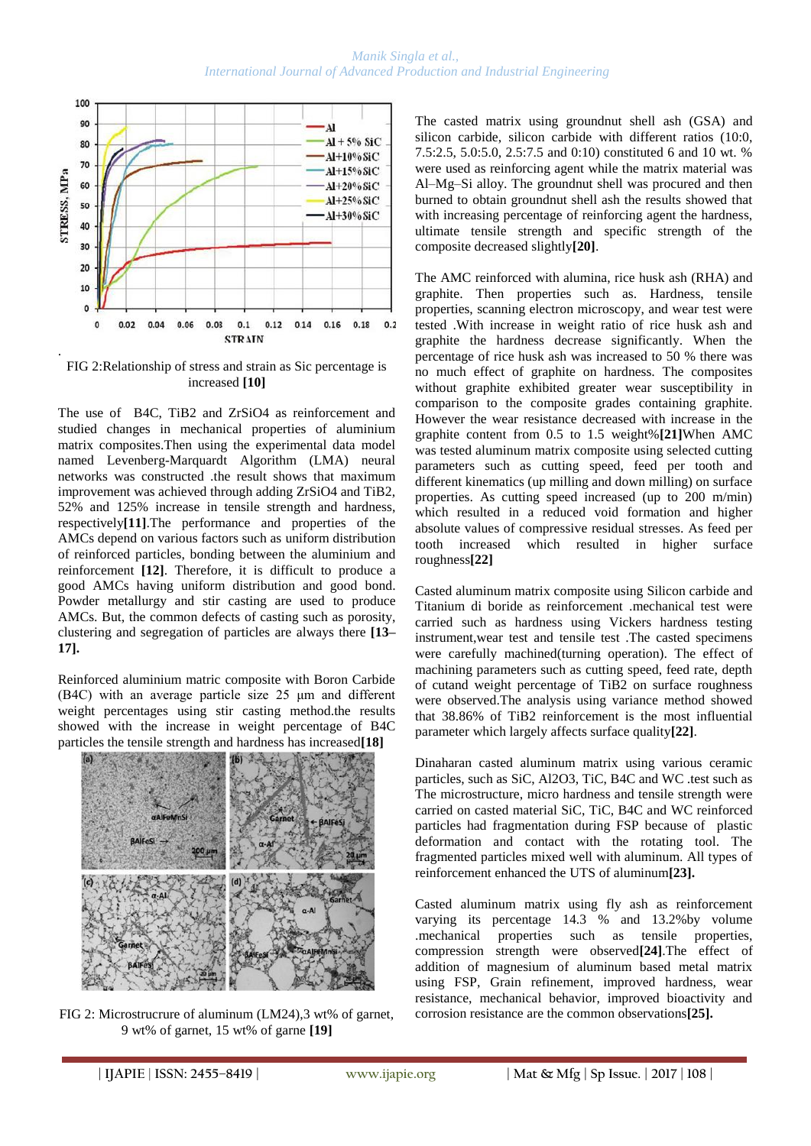

FIG 2:Relationship of stress and strain as Sic percentage is increased **[10]**

The use of B4C, TiB2 and ZrSiO4 as reinforcement and studied changes in mechanical properties of aluminium matrix composites.Then using the experimental data model named Levenberg-Marquardt Algorithm (LMA) neural networks was constructed .the result shows that maximum improvement was achieved through adding ZrSiO4 and TiB2, 52% and 125% increase in tensile strength and hardness, respectively**[11]**.The performance and properties of the AMCs depend on various factors such as uniform distribution of reinforced particles, bonding between the aluminium and reinforcement **[12]**. Therefore, it is difficult to produce a good AMCs having uniform distribution and good bond. Powder metallurgy and stir casting are used to produce AMCs. But, the common defects of casting such as porosity, clustering and segregation of particles are always there **[13– 17].**

Reinforced aluminium matric composite with Boron Carbide (B4C) with an average particle size 25 μm and different weight percentages using stir casting method.the results showed with the increase in weight percentage of B4C particles the tensile strength and hardness has increased**[18]**



FIG 2: Microstrucrure of aluminum (LM24),3 wt% of garnet, 9 wt% of garnet, 15 wt% of garne **[19]**

The casted matrix using groundnut shell ash (GSA) and silicon carbide, silicon carbide with different ratios (10:0, 7.5:2.5, 5.0:5.0, 2.5:7.5 and 0:10) constituted 6 and 10 wt. % were used as reinforcing agent while the matrix material was Al–Mg–Si alloy. The groundnut shell was procured and then burned to obtain groundnut shell ash the results showed that with increasing percentage of reinforcing agent the hardness, ultimate tensile strength and specific strength of the composite decreased slightly**[20]**.

The AMC reinforced with alumina, rice husk ash (RHA) and graphite. Then properties such as. Hardness, tensile properties, scanning electron microscopy, and wear test were tested .With increase in weight ratio of rice husk ash and graphite the hardness decrease significantly. When the percentage of rice husk ash was increased to 50 % there was no much effect of graphite on hardness. The composites without graphite exhibited greater wear susceptibility in comparison to the composite grades containing graphite. However the wear resistance decreased with increase in the graphite content from 0.5 to 1.5 weight%**[21]**When AMC was tested aluminum matrix composite using selected cutting parameters such as cutting speed, feed per tooth and different kinematics (up milling and down milling) on surface properties. As cutting speed increased (up to 200 m/min) which resulted in a reduced void formation and higher absolute values of compressive residual stresses. As feed per tooth increased which resulted in higher surface roughness**[22]**

Casted aluminum matrix composite using Silicon carbide and Titanium di boride as reinforcement .mechanical test were carried such as hardness using Vickers hardness testing instrument,wear test and tensile test .The casted specimens were carefully machined(turning operation). The effect of machining parameters such as cutting speed, feed rate, depth of cutand weight percentage of TiB2 on surface roughness were observed.The analysis using variance method showed that 38.86% of TiB2 reinforcement is the most influential parameter which largely affects surface quality**[22]**.

Dinaharan casted aluminum matrix using various ceramic particles, such as SiC, Al2O3, TiC, B4C and WC .test such as The microstructure, micro hardness and tensile strength were carried on casted material SiC, TiC, B4C and WC reinforced particles had fragmentation during FSP because of plastic deformation and contact with the rotating tool. The fragmented particles mixed well with aluminum. All types of reinforcement enhanced the UTS of aluminum**[23].**

Casted aluminum matrix using fly ash as reinforcement varying its percentage 14.3 % and 13.2%by volume .mechanical properties such as tensile properties, compression strength were observed**[24]**.The effect of addition of magnesium of aluminum based metal matrix using FSP, Grain refinement, improved hardness, wear resistance, mechanical behavior, improved bioactivity and corrosion resistance are the common observations**[25].**